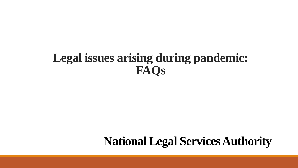# **Legal issues arising during pandemic: FAQs**

# **National Legal Services Authority**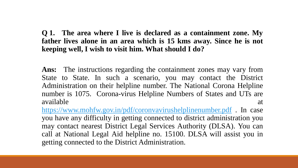**Q 1. The area where I live is declared as a containment zone. My father lives alone in an area which is 15 kms away. Since he is not keeping well, I wish to visit him. What should I do?**

**Ans:** The instructions regarding the containment zones may vary from State to State. In such a scenario, you may contact the District Administration on their helpline number. The National Corona Helpline number is 1075. Corona-virus Helpline Numbers of States and UTs are available at a state of  $\alpha$  at a state of  $\alpha$  at a state of  $\alpha$  at a state of  $\alpha$ 

<https://www.mohfw.gov.in/pdf/coronvavirushelplinenumber.pdf> . In case you have any difficulty in getting connected to district administration you may contact nearest District Legal Services Authority (DLSA). You can call at National Legal Aid helpline no. 15100. DLSA will assist you in getting connected to the District Administration.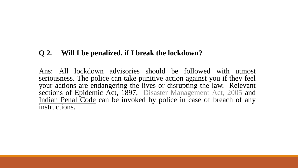# **Q 2. Will I be penalized, if I break the lockdown?**

Ans: All lockdown advisories should be followed with utmost seriousness. The police can take punitive action against you if they feel your actions are endangering the lives or disrupting the law. Relevant sections of Epidemic Act, 1897, Disaster [Management](https://nalsa.gov.in/uploads/pdf/2020/04/28/28_04_2020_48028040.pdf) Act, 2005 and Indian Penal Code can be invoked by police in case of breach of any instructions.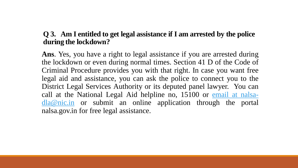# **Q 3. Am I entitled to get legal assistance if I am arrested by the police during the lockdown?**

**Ans**. Yes, you have a right to legal assistance if you are arrested during the lockdown or even during normal times. Section 41 D of the Code of Criminal Procedure provides you with that right. In case you want free legal aid and assistance, you can ask the police to connect you to the District Legal Services Authority or its deputed panel lawyer. You can call at the National Legal Aid helpline no, 15100 or email at nalsadla@nic.in or submit an online [application](mailto:email%20at%20nalsa-dla@nic.in) through the portal nalsa.gov.in for free legal assistance.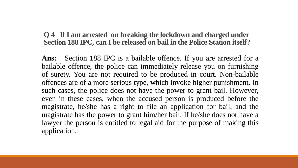#### **Q 4 If I am arrested on breaking the lockdown and charged under Section 188 IPC, can I be released on bail in the Police Station itself?**

**Ans:** Section 188 IPC is a bailable offence. If you are arrested for a bailable offence, the police can immediately release you on furnishing of surety. You are not required to be produced in court. Non-bailable offences are of a more serious type, which invoke higher punishment. In such cases, the police does not have the power to grant bail. However, even in these cases, when the accused person is produced before the magistrate, he/she has a right to file an application for bail, and the magistrate has the power to grant him/her bail. If he/she does not have a lawyer the person is entitled to legal aid for the purpose of making this application.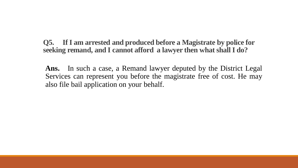**Q5. If I am arrested and produced before a Magistrate by police for seeking remand, and I cannot afford a lawyer then what shall I do?**

**Ans.** In such a case, a Remand lawyer deputed by the District Legal Services can represent you before the magistrate free of cost. He may also file bail application on your behalf.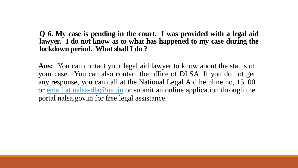**Q 6. My case is pending in the court. I was provided with a legal aid lawyer. I do not know as to what has happened to my case during the lockdown period. What shall I do ?**

**Ans:** You can contact your legal aid lawyer to know about the status of your case. You can also contact the office of DLSA. If you do not get any response, you can call at the National Legal Aid helpline no, 15100 or email at [nalsa-dla@nic.in](mailto:email%20at%20nalsa-dla@nic.in) or submit an online application through the portal nalsa.gov.in for free legal assistance.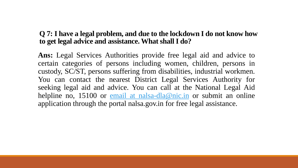### **Q 7: I have a legal problem, and due to the lockdown I do not know how to get legal advice and assistance. What shall I do?**

**Ans:** Legal Services Authorities provide free legal aid and advice to certain categories of persons including women, children, persons in custody, SC/ST, persons suffering from disabilities, industrial workmen. You can contact the nearest District Legal Services Authority for seeking legal aid and advice. You can call at the National Legal Aid helpline no, 15100 or email at [nalsa-dla@nic.in](mailto:email%20at%20nalsa-dla@nic.in) or submit an online application through the portal nalsa.gov.in for free legal assistance.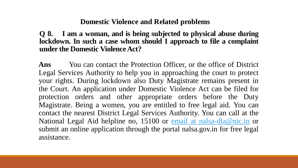#### **Domestic Violence and Related problems**

**Q 8. I am a woman, and is being subjected to physical abuse during lockdown. In such a case whom should I approach to file a complaint under** the **Domestic Violence** Act?

Ans You can contact the Protection Officer, or the office of District Legal Services Authority to help you in approaching the court to protect your rights. During lockdown also Duty Magistrate remains present in the Court. An application under Domestic Violence Act can be filed for protection orders and other appropriate orders before the Duty Magistrate. Being a women, you are entitled to free legal aid. You can contact the nearest District Legal Services Authority. You can call at the National Legal Aid helpline no, 15100 or email at [nalsa-dla@nic.in](mailto:email%20at%20nalsa-dla@nic.in) or submit an online application through the portal nalsa.gov.in for free legal assistance.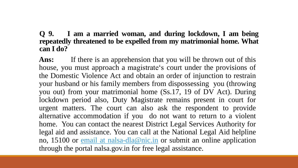### **Q 9. I am a married woman, and during lockdown, I am being repeatedly threatened to be expelled from my matrimonial home. What can I do?**

Ans: If there is an apprehension that you will be thrown out of this house, you must approach a magistrate's court under the provisions of the Domestic Violence Act and obtain an order of injunction to restrain your husband or his family members from dispossessing you (throwing you out) from your matrimonial home (Ss.17, 19 of DV Act). During lockdown period also, Duty Magistrate remains present in court for urgent matters. The court can also ask the respondent to provide alternative accommodation if you do not want to return to a violent home. You can contact the nearest District Legal Services Authority for legal aid and assistance. You can call at the National Legal Aid helpline no, 15100 or email at [nalsa-dla@nic.in](mailto:email%20at%20nalsa-dla@nic.in) or submit an online application through the portal nalsa.gov.in for free legal assistance.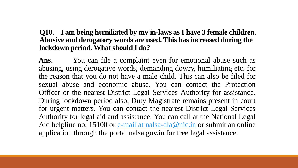#### **Q10. I am being humiliated by my in-laws as I have 3 female children. Abusive and derogatory words are used. This has increased during the lockdown period. What should I do?**

Ans. You can file a complaint even for emotional abuse such as abusing, using derogative words, demanding dowry, humiliating etc. for the reason that you do not have a male child. This can also be filed for sexual abuse and economic abuse. You can contact the Protection Officer or the nearest District Legal Services Authority for assistance. During lockdown period also, Duty Magistrate remains present in court for urgent matters. You can contact the nearest District Legal Services Authority for legal aid and assistance. You can call at the National Legal Aid helpline no, 15100 or  $e$ -mail at [nalsa-dla@nic.in](mailto:email%20at%20nalsa-dla@nic.in) or submit an online application through the portal nalsa.gov.in for free legal assistance.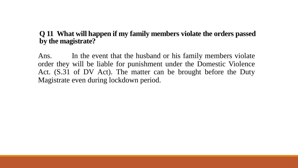# **Q 11 What will happen if my family members violate the orders passed by the magistrate?**

Ans. In the event that the husband or his family members violate order they will be liable for punishment under the Domestic Violence Act. (S.31 of DV Act). The matter can be brought before the Duty Magistrate even during lockdown period.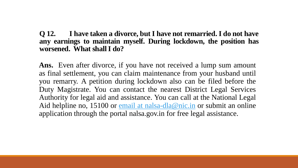#### **Q 12. I have taken a divorce, but I have not remarried. I do not have any earnings to maintain myself. During lockdown, the position has worsened. What shallI do?**

Ans. Even after divorce, if you have not received a lump sum amount as final settlement, you can claim maintenance from your husband until you remarry. A petition during lockdown also can be filed before the Duty Magistrate. You can contact the nearest District Legal Services Authority for legal aid and assistance. You can call at the National Legal Aid helpline no, 15100 or email at [nalsa-dla@nic.in](mailto:email%20at%20nalsa-dla@nic.in) or submit an online application through the portal nalsa.gov.in for free legal assistance.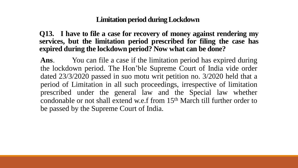# **Limitation period during Lockdown**

**Q13. I have to file a case for recovery of money against rendering my services, but the limitation period prescribed for filing the case has expired during the lockdown period? Now what can be done?**

**Ans**. You can file a case if the limitation period has expired during the lockdown period. The Hon'ble Supreme Court of India vide order dated 23/3/2020 passed in suo motu writ petition no. 3/2020 held that a period of Limitation in all such proceedings, irrespective of limitation prescribed under the general law and the Special law whether condonable or not shall extend w.e.f from 15th March till further order to be passed by the Supreme Court of India.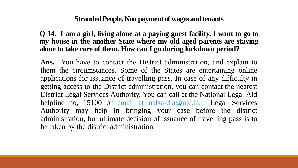#### **Stranded People, Non payment of wages and tenants**

**Q 14. I am a girl, living alone at a paying guest facility. I want to go to my house in the another State where my old aged parents are staying alone to take care of them. How can I go during lockdown period?**

**Ans.** You have to contact the District administration, and explain to them the circumstances. Some of the States are entertaining online applications for issuance of travelling pass. In case of any difficulty in getting access to the District administration, you can contact the nearest District Legal Services Authority. You can call at the National Legal Aid helpline no, 15100 or email at [nalsa-dla@nic.in](mailto:email%20at%20nalsa-dla@nic.in). Legal Services Authority may help in bringing your case before the district administration, but ultimate decision of issuance of travelling pass is to be taken by the district administration.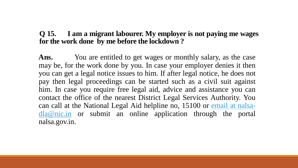#### **Q 15. I am a migrant labourer. My employer is not paying me wages for the work done by me before the lockdown ?**

Ans. You are entitled to get wages or monthly salary, as the case may be, for the work done by you. In case your employer denies it then you can get a legal notice issues to him. If after legal notice, he does not pay then legal proceedings can be started such as a civil suit against him. In case you require free legal aid, advice and assistance you can contact the office of the nearest District Legal Services Authority. You can call at the National Legal Aid helpline no, 15100 or email at nalsadla@nic.in or submit an online [application](mailto:email%20at%20nalsa-dla@nic.in) through the portal nalsa.gov.in.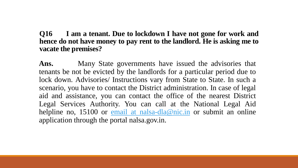#### **Q16 I am a tenant. Due to lockdown I have not gone for work and hence do not have money to pay rent to the landlord. He is asking me to vacate the premises?**

**Ans.** Many State governments have issued the advisories that tenants be not be evicted by the landlords for a particular period due to lock down. Advisories/ Instructions vary from State to State. In such a scenario, you have to contact the District administration. In case of legal aid and assistance, you can contact the office of the nearest District Legal Services Authority. You can call at the National Legal Aid helpline no, 15100 or email at [nalsa-dla@nic.in](mailto:email%20at%20nalsa-dla@nic.in) or submit an online application through the portal nalsa.gov.in.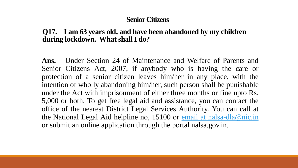#### **Senior Citizens**

#### **Q17. I am 63 years old, and have been abandoned by my children during lockdown. What shall I do?**

**Ans.** Under Section 24 of Maintenance and Welfare of Parents and Senior Citizens Act, 2007, if anybody who is having the care or protection of a senior citizen leaves him/her in any place, with the intention of wholly abandoning him/her, such person shall be punishable under the Act with imprisonment of either three months or fine upto Rs. 5,000 or both. To get free legal aid and assistance, you can contact the office of the nearest District Legal Services Authority. You can call at the National Legal Aid helpline no, 15100 or email at [nalsa-dla@nic.in](mailto:email%20at%20nalsa-dla@nic.in) or submit an online application through the portal nalsa.gov.in.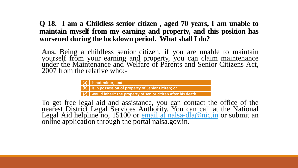#### **Q 18. I am a Childless senior citizen , aged 70 years, I am unable to maintain myself from my earning and property, and this position has worsened during the lockdown period. What shallI do?**

**Ans.** Being a childless senior citizen, if you are unable to maintain yourself from your earning and property, you can claim maintenance under the Maintenance and Welfare of Parents and Senior Citizens Act, 2007 from the relative who:-

| $\vert$ (a) $\vert$ is not minor; and                          |
|----------------------------------------------------------------|
| $\vert$ (b) is in possession of property of Senior Citizen; or |

**(c) would inherit the property of senior citizen after his death.**

To get free legal aid and assistance, you can contact the office of the nearest District Legal Services Authority. You can call at the National Legal Aid helpline no, 15100 or **email at [nalsa-dla@nic.in](mailto:email%20at%20nalsa-dla@nic.in)** or submit an online application through the portal nalsa.gov.in.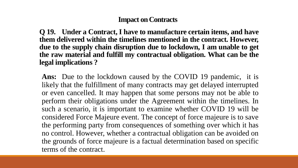# **Impact on Contracts**

**Q 19. Under a Contract, I have to manufacture certain items, and have them delivered within the timelines mentioned in the contract. However, due to the supply chain disruption due to lockdown, I am unable to get the raw material and fulfill my contractual obligation. What can be the legal implications ?**

**Ans:** Due to the lockdown caused by the COVID 19 pandemic, it is likely that the fulfillment of many contracts may get delayed interrupted or even cancelled. It may happen that some persons may not be able to perform their obligations under the Agreement within the timelines. In such a scenario, it is important to examine whether COVID 19 will be considered Force Majeure event. The concept of force majeure is to save the performing party from consequences of something over which it has no control. However, whether a contractual obligation can be avoided on the grounds of force majeure is a factual determination based on specific terms of the contract.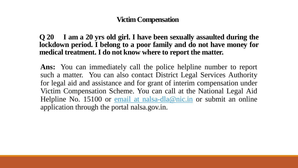### **Victim Compensation**

**Q 20 I am a 20 yrs old girl. I have been sexually assaulted during the lockdown period. I belong to a poor family and do not have money for medical treatment. I do not know where to report the matter.**

**Ans:** You can immediately call the police helpline number to report such a matter. You can also contact District Legal Services Authority for legal aid and assistance and for grant of interim compensation under Victim Compensation Scheme. You can call at the National Legal Aid Helpline No. 15100 or email at [nalsa-dla@nic.in](mailto:email%20at%20nalsa-dla@nic.in) or submit an online application through the portal nalsa.gov.in.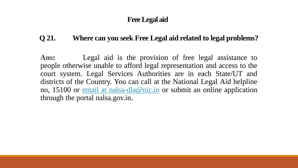# **Free Legal aid**

# **Q 21. Where can you seek Free Legal aid related to legal problems?**

**Ans:** Legal aid is the provision of free legal assistance to people otherwise unable to afford legal representation and access to the court system. Legal Services Authorities are in each State/UT and districts of the Country. You can call at the National Legal Aid helpline no, 15100 or email at [nalsa-dla@nic.in](mailto:email%20at%20nalsa-dla@nic.in) or submit an online application through the portal nalsa.gov.in.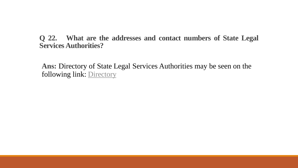**Q 22. What are the addresses and contact numbers of State Legal Services Authorities?**

**Ans:** Directory of State Legal Services Authorities may be seen on the following link: [Directory](https://nalsa.gov.in/uploads/pdf/2020/04/28/28_04_2020_70443472.pdf)